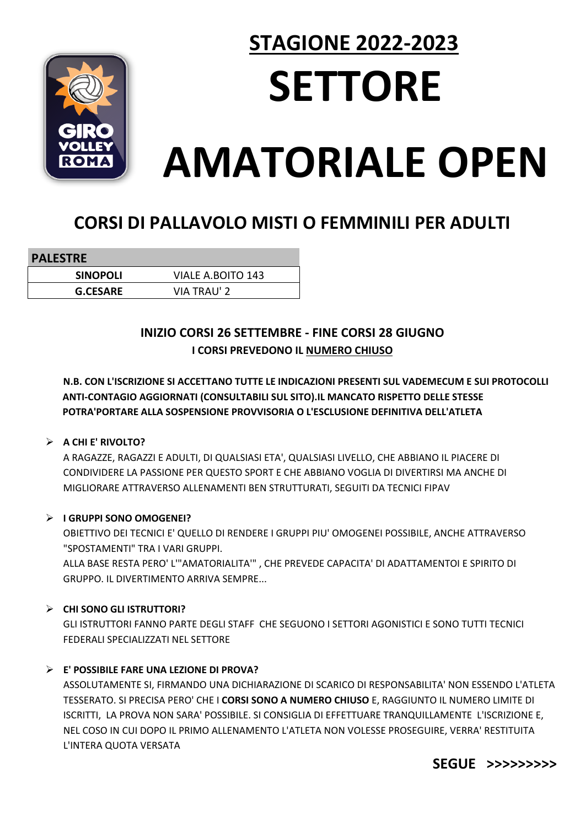

# **STAGIONE 2022-2023 SETTORE AMATORIALE OPEN**

# CORSI DI PALLAVOLO MISTI O FEMMINILI PER ADULTI

| <b>PALESTRE</b> |                    |
|-----------------|--------------------|
| <b>SINOPOLI</b> | VIALE A.BOITO 143  |
| <b>G.CESARE</b> | <b>VIA TRAU' 2</b> |

INIZIO CORSI 26 SETTEMBRE - FINE CORSI 28 GIUGNO I CORSI PREVEDONO IL NUMERO CHIUSO

N.B. CON L'ISCRIZIONE SI ACCETTANO TUTTE LE INDICAZIONI PRESENTI SUL VADEMECUM E SUI PROTOCOLLI ANTI-CONTAGIO AGGIORNATI (CONSULTABILI SUL SITO).IL MANCATO RISPETTO DELLE STESSE POTRA'PORTARE ALLA SOSPENSIONE PROVVISORIA O L'ESCLUSIONE DEFINITIVA DELL'ATLETA

# $\triangleright$  A CHI E' RIVOLTO?

A RAGAZZE, RAGAZZI E ADULTI, DI QUALSIASI ETA', QUALSIASI LIVELLO, CHE ABBIANO IL PIACERE DI CONDIVIDERE LA PASSIONE PER QUESTO SPORT E CHE ABBIANO VOGLIA DI DIVERTIRSI MA ANCHE DI MIGLIORARE ATTRAVERSO ALLENAMENTI BEN STRUTTURATI, SEGUITI DA TECNICI FIPAV

#### > I GRUPPI SONO OMOGENEI?

OBIETTIVO DEI TECNICI E' QUELLO DI RENDERE I GRUPPI PIU' OMOGENEI POSSIBILE, ANCHE ATTRAVERSO "SPOSTAMENTI" TRA I VARI GRUPPI.

ALLA BASE RESTA PERO' L'"AMATORIALITA'", CHE PREVEDE CAPACITA' DI ADATTAMENTOI E SPIRITO DI **GRUPPO. IL DIVERTIMENTO ARRIVA SEMPRE...** 

#### $\triangleright$  CHI SONO GLI ISTRUTTORI?

GLI ISTRUTTORI FANNO PARTE DEGLI STAFF, CHE SEGUONO I SETTORI AGONISTICI E SONO TUTTI TECNICI FEDERALI SPECIALIZZATI NEL SETTORE

# $\triangleright$  E' POSSIBILE FARE UNA LEZIONE DI PROVA?

ASSOLUTAMENTE SI, FIRMANDO UNA DICHIARAZIONE DI SCARICO DI RESPONSABILITA' NON ESSENDO L'ATLETA TESSERATO. SI PRECISA PERO' CHE I CORSI SONO A NUMERO CHIUSO E. RAGGIUNTO IL NUMERO LIMITE DI ISCRITTI, LA PROVA NON SARA' POSSIBILE. SI CONSIGLIA DI EFFETTUARE TRANQUILLAMENTE L'ISCRIZIONE E, NEL COSO IN CUI DOPO IL PRIMO ALLENAMENTO L'ATLETA NON VOLESSE PROSEGUIRE, VERRA' RESTITUITA L'INTERA QUOTA VERSATA

SEGUE >>>>>>>>>